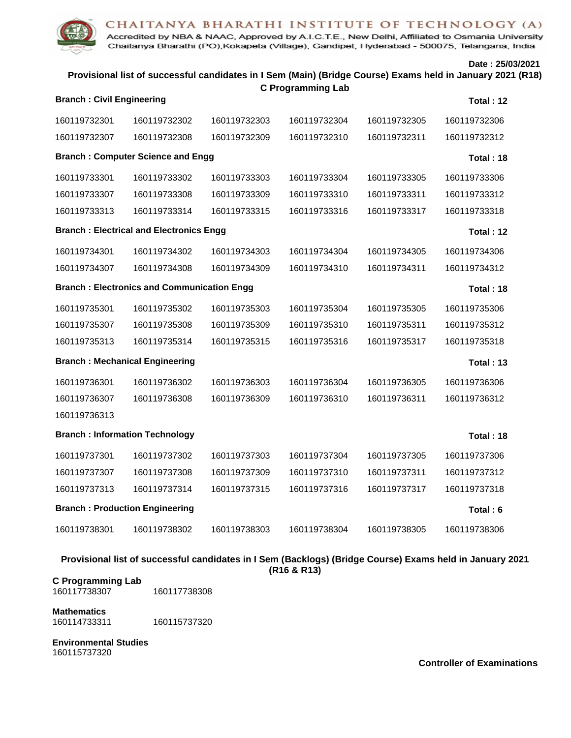## CHAITANYA BHARATHI INSTITUTE OF TECHNOLOGY (A)

Accredited by NBA & NAAC, Approved by A.I.C.T.E., New Delhi, Affiliated to Osmania University Chaitanya Bharathi (PO), Kokapeta (Village), Gandipet, Hyderabad - 500075, Telangana, India

**Date : 25/03/2021**

# **Provisional list of successful candidates in I Sem (Main) (Bridge Course) Exams held in January 2021 (R18) C Programming Lab**

| <b>Branch: Civil Engineering</b>                               |              |              |              |              | Total: 12    |  |  |  |  |
|----------------------------------------------------------------|--------------|--------------|--------------|--------------|--------------|--|--|--|--|
| 160119732301                                                   | 160119732302 | 160119732303 | 160119732304 | 160119732305 | 160119732306 |  |  |  |  |
| 160119732307                                                   | 160119732308 | 160119732309 | 160119732310 | 160119732311 | 160119732312 |  |  |  |  |
| <b>Branch: Computer Science and Engg</b><br>Total: 18          |              |              |              |              |              |  |  |  |  |
| 160119733301                                                   | 160119733302 | 160119733303 | 160119733304 | 160119733305 | 160119733306 |  |  |  |  |
| 160119733307                                                   | 160119733308 | 160119733309 | 160119733310 | 160119733311 | 160119733312 |  |  |  |  |
| 160119733313                                                   | 160119733314 | 160119733315 | 160119733316 | 160119733317 | 160119733318 |  |  |  |  |
| <b>Branch: Electrical and Electronics Engg</b><br>Total: 12    |              |              |              |              |              |  |  |  |  |
| 160119734301                                                   | 160119734302 | 160119734303 | 160119734304 | 160119734305 | 160119734306 |  |  |  |  |
| 160119734307                                                   | 160119734308 | 160119734309 | 160119734310 | 160119734311 | 160119734312 |  |  |  |  |
| <b>Branch: Electronics and Communication Engg</b><br>Total: 18 |              |              |              |              |              |  |  |  |  |
| 160119735301                                                   | 160119735302 | 160119735303 | 160119735304 | 160119735305 | 160119735306 |  |  |  |  |
| 160119735307                                                   | 160119735308 | 160119735309 | 160119735310 | 160119735311 | 160119735312 |  |  |  |  |
| 160119735313                                                   | 160119735314 | 160119735315 | 160119735316 | 160119735317 | 160119735318 |  |  |  |  |
| <b>Branch: Mechanical Engineering</b><br>Total: 13             |              |              |              |              |              |  |  |  |  |
| 160119736301                                                   | 160119736302 | 160119736303 | 160119736304 | 160119736305 | 160119736306 |  |  |  |  |
| 160119736307                                                   | 160119736308 | 160119736309 | 160119736310 | 160119736311 | 160119736312 |  |  |  |  |
| 160119736313                                                   |              |              |              |              |              |  |  |  |  |
| <b>Branch: Information Technology</b><br>Total: 18             |              |              |              |              |              |  |  |  |  |
| 160119737301                                                   | 160119737302 | 160119737303 | 160119737304 | 160119737305 | 160119737306 |  |  |  |  |
| 160119737307                                                   | 160119737308 | 160119737309 | 160119737310 | 160119737311 | 160119737312 |  |  |  |  |
| 160119737313                                                   | 160119737314 | 160119737315 | 160119737316 | 160119737317 | 160119737318 |  |  |  |  |
| <b>Branch: Production Engineering</b><br>Total: 6              |              |              |              |              |              |  |  |  |  |
| 160119738301                                                   | 160119738302 | 160119738303 | 160119738304 | 160119738305 | 160119738306 |  |  |  |  |

**Provisional list of successful candidates in I Sem (Backlogs) (Bridge Course) Exams held in January 2021**

**(R16 & R13)**

**C Programming Lab** 160117738308

**Mathematics**

160114733311 160115737320

**Environmental Studies** 160115737320

**Controller of Examinations**